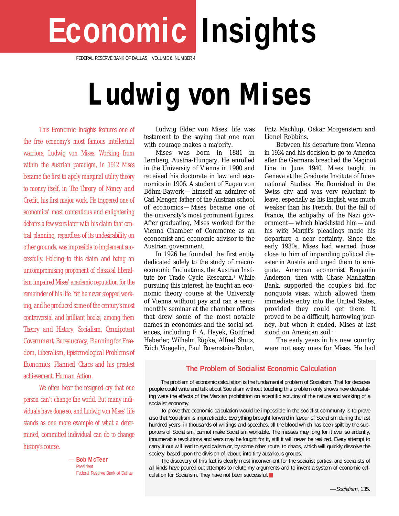# **Economic Insights**

FEDERAL RESERVE BANK OF DALLAS VOLUME 6, NUMBER 4



This *Economic Insights* features one of the free economy's most famous intellectual warriors, Ludwig von Mises. Working from within the Austrian paradigm, in 1912 Mises became the first to apply marginal utility theory to money itself, in *The Theory of Money and Credit*, his first major work. He triggered one of economics' most contentious and enlightening debates a few years later with his claim that central planning, regardless of its undesirability on other grounds, was impossible to implement successfully. Holding to this claim and being an uncompromising proponent of classical liberalism impaired Mises' academic reputation for the remainder of his life. Yet he never stopped working, and he produced some of the century's most controversial and brilliant books, among them *Theory and History*, *Socialism*, *Omnipotent Government*, *Bureaucracy*, *Planning for Freedom*, *Liberalism*, *Epistemological Problems of Economics*, *Planned Chaos* and his greatest achievement, *Human Action*.

We often hear the resigned cry that one person can't change the world. But many individuals have done so, and Ludwig von Mises' life stands as one more example of what a determined, committed individual can do to change history's course.

> *—* **Bob McTeer** President Federal Reserve Bank of Dallas

Ludwig Elder von Mises' life was testament to the saying that one man with courage makes a majority.

Mises was born in 1881 in Lemberg, Austria-Hungary. He enrolled in the University of Vienna in 1900 and received his doctorate in law and economics in 1906. A student of Eugen von Böhm-Bawerk—himself an admirer of Carl Menger, father of the Austrian school of economics—Mises became one of the university's most prominent figures. After graduating, Mises worked for the Vienna Chamber of Commerce as an economist and economic advisor to the Austrian government.

In 1926 he founded the first entity dedicated solely to the study of macroeconomic fluctuations, the Austrian Institute for Trade Cycle Research.<sup>1</sup> While pursuing this interest, he taught an economic theory course at the University of Vienna without pay and ran a semimonthly seminar at the chamber offices that drew some of the most notable names in economics and the social sciences, including F. A. Hayek, Gottfried Haberler, Wilhelm Röpke, Alfred Shutz, Erich Voegelin, Paul Rosenstein-Rodan,

Fritz Machlup, Oskar Morgenstern and Lionel Robbins.

Between his departure from Vienna in 1934 and his decision to go to America after the Germans breached the Maginot Line in June 1940, Mises taught in Geneva at the Graduate Institute of International Studies. He flourished in the Swiss city and was very reluctant to leave, especially as his English was much weaker than his French. But the fall of France, the antipathy of the Nazi government—which blacklisted him—and his wife Margit's pleadings made his departure a near certainty. Since the early 1930s, Mises had warned those close to him of impending political disaster in Austria and urged them to emigrate. American economist Benjamin Anderson, then with Chase Manhattan Bank, supported the couple's bid for nonquota visas, which allowed them immediate entry into the United States, provided they could get there. It proved to be a difficult, harrowing journey, but when it ended, Mises at last stood on American soil.<sup>2</sup>

The early years in his new country were not easy ones for Mises. He had

## **The Problem of Socialist Economic Calculation**

The problem of economic calculation is the fundamental problem of Socialism. That for decades people could write and talk about Socialism without touching this problem only shows how devastating were the effects of the Marxian prohibition on scientific scrutiny of the nature and working of a socialist economy.

To prove that economic calculation would be impossible in the socialist community is to prove also that Socialism is impracticable. Everything brought forward in favour of Socialism during the last hundred years, in thousands of writings and speeches, all the blood which has been spilt by the supporters of Socialism, cannot make Socialism workable. The masses may long for it ever so ardently, innumerable revolutions and wars may be fought for it, still it will never be realized. Every attempt to carry it out will lead to syndicalism or, by some other route, to chaos, which will quickly dissolve the society, based upon the division of labour, into tiny autarkous groups.

The discovery of this fact is clearly most inconvenient for the socialist parties, and socialists of all kinds have poured out attempts to refute my arguments and to invent a system of economic calculation for Socialism. They have not been successful.■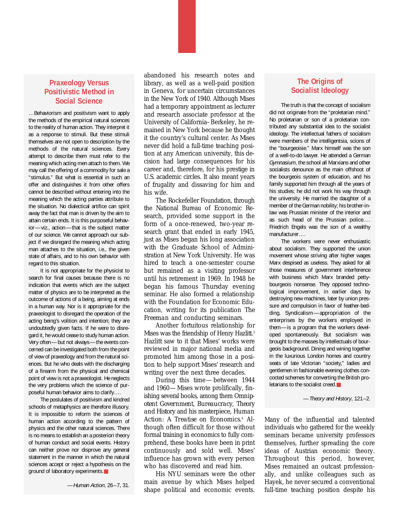# **Praxeology Versus Positivistic Method in Social Science**

…Behaviorism and positivism want to apply the methods of the empirical natural sciences to the reality of human action. They interpret it as a response to stimuli. But these stimuli themselves are not open to description by the methods of the natural sciences. Every attempt to describe them must refer to the meaning which acting men attach to them. We may call the offering of a commodity for sale a "stimulus." But what is essential in such an offer and distinguishes it from other offers cannot be described without entering into the meaning which the acting parties attribute to the situation. No dialectical artifice can spirit away the fact that man is driven by the aim to attain certain ends. It is this purposeful behavior—viz., action—that is the subject matter of our science. We cannot approach our subject if we disregard the meaning which acting man attaches to the situation, i.e., the given state of affairs, and to his own behavior with regard to this situation.

It is not appropriate for the physicist to search for final causes because there is no indication that events which are the subject matter of physics are to be interpreted as the outcome of actions of a being, aiming at ends in a human way. Nor is it appropriate for the praxeologist to disregard the operation of the acting being's volition and intention; they are undoubtedly given facts. If he were to disregard it, he would cease to study human action. Very often—but not always—the events concerned can be investigated both from the point of view of praxeology and from the natural sciences. But he who deals with the discharging of a firearm from the physical and chemical point of view is not a praxeologist. He neglects the very problems which the science of purposeful human behavior aims to clarify….

The postulates of positivism and kindred schools of metaphysics are therefore illusory. It is impossible to reform the sciences of human action according to the pattern of physics and the other natural sciences. There is no means to establish an a posteriori theory of human conduct and social events. History can neither prove nor disprove any general statement in the manner in which the natural sciences accept or reject a hypothesis on the ground of laboratory experiments.■

—*Human Action*, 26–7, 31.

abandoned his research notes and library, as well as a well-paid position in Geneva, for uncertain circumstances in the New York of 1940. Although Mises had a temporary appointment as lecturer and research associate professor at the University of California–Berkeley, he remained in New York because he thought it the country's cultural center. As Mises never did hold a full-time teaching position at any American university, this decision had large consequences for his career and, therefore, for his prestige in U.S. academic circles. It also meant years of frugality and dissaving for him and his wife.

The Rockefeller Foundation, through the National Bureau of Economic Research, provided some support in the form of a once-renewed, two-year research grant that ended in early 1945, just as Mises began his long association with the Graduate School of Administration at New York University. He was hired to teach a one-semester course but remained as a visiting professor until his retirement in 1969. In 1948 he began his famous Thursday evening seminar. He also formed a relationship with the Foundation for Economic Education, writing for its publication *The Freeman* and conducting seminars.

Another fortuitous relationship for Mises was the friendship of Henry Hazlitt.<sup>3</sup> Hazlitt saw to it that Mises' works were reviewed in major national media and promoted him among those in a position to help support Mises' research and writing over the next three decades.

During this time—between 1944 and 1960—Mises wrote prolifically, finishing several books, among them *Omnipotent Government*, *Bureaucracy, Theory and History* and his masterpiece, *Human Action: A Treatise on Economics*. <sup>4</sup> Although often difficult for those without formal training in economics to fully comprehend, these books have been in print continuously and sold well. Mises' influence has grown with every person who has discovered and read him.

His NYU seminars were the other main avenue by which Mises helped shape political and economic events.

# **The Origins of Socialist Ideology**

The truth is that the concept of socialism did not originate from the "proletarian mind." No proletarian or son of a proletarian contributed any substantial idea to the socialist ideology. The intellectual fathers of socialism were members of the intelligentsia, scions of the "bourgeoisie." Marx himself was the son of a well-to-do lawyer. He attended a German *Gymnasium*, the school all Marxians and other socialists denounce as the main offshoot of the bourgeois system of education, and his family supported him through all the years of his studies; he did not work his way through the university. He married the daughter of a member of the German nobility; his brother-inlaw was Prussian minister of the interior and as such head of the Prussian police…. Friedrich Engels was the son of a wealthy manufacturer….

The workers were never enthusiastic about socialism. They supported the union movement whose striving after higher wages Marx despised as useless. They asked for all those measures of government interference with business which Marx branded pettybourgeois nonsense. They opposed technological improvement, in earlier days by destroying new machines, later by union pressure and compulsion in favor of feather-bedding. Syndicalism—appropriation of the enterprises by the workers employed in them—is a program that the workers developed spontaneously. But socialism was brought to the masses by intellectuals of bourgeois background. Dining and wining together in the luxurious London homes and country seats of late Victorian "society," ladies and gentlemen in fashionable evening clothes concocted schemes for converting the British proletarians to the socialist creed.■

—*Theory and History*, 121–2.

Many of the influential and talented individuals who gathered for the weekly seminars became university professors themselves, further spreading the core ideas of Austrian economic theory. Throughout this period, however, Mises remained an outcast professionally, and unlike colleagues such as Hayek, he never secured a conventional full-time teaching position despite his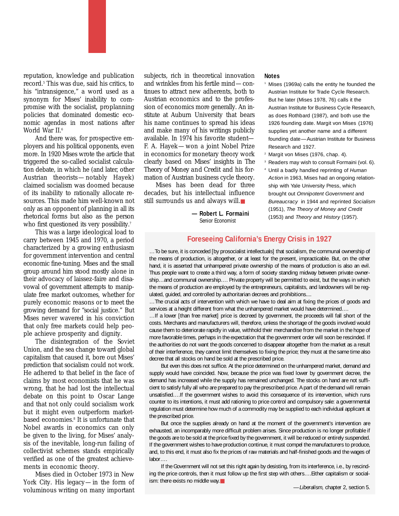

And there was, for prospective employers and his political opponents, even more. In 1920 Mises wrote the article that triggered the so-called socialist calculation debate, in which he (and later, other Austrian theorists—notably Hayek) claimed socialism was doomed because of its inability to rationally allocate resources. This made him well-known not only as an opponent of planning in all its rhetorical forms but also as the person who first questioned its very possibility.<sup>7</sup>

This was a large ideological load to carry between 1945 and 1970, a period characterized by a growing enthusiasm for government intervention and central economic fine-tuning. Mises and the small group around him stood mostly alone in their advocacy of laissez-faire and disavowal of government attempts to manipulate free market outcomes, whether for purely economic reasons or to meet the growing demand for "social justice." But Mises never wavered in his conviction that only free markets could help people achieve prosperity and dignity.

The disintegration of the Soviet Union, and the sea change toward global capitalism that caused it, bore out Mises' prediction that socialism could not work. He adhered to that belief in the face of claims by most economists that he was wrong, that he had lost the intellectual debate on this point to Oscar Lange and that not only could socialism work but it might even outperform marketbased economies.8 It is unfortunate that Nobel awards in economics can only be given to the living, for Mises' analysis of the inevitable, long-run failing of collectivist schemes stands empirically verified as one of the greatest achievements in economic theory.

Mises died in October 1973 in New York City. His legacy—in the form of voluminous writing on many important subjects, rich in theoretical innovation and wrinkles from his fertile mind—continues to attract new adherents, both to Austrian economics and to the profession of economics more generally. An institute at Auburn University that bears his name continues to spread his ideas and make many of his writings publicly available. In 1974 his favorite student— F. A. Hayek—won a joint Nobel Prize in economics for monetary theory work clearly based on Mises' insights in *The Theory of Money and Credit* and his formation of Austrian business cycle theory.

Mises has been dead for three decades, but his intellectual influence still surrounds us and always will.■

> **— Robert L. Formaini** Senior Economist

#### **Notes**

- <sup>1</sup> Mises (1969a) calls the entity he founded the Austrian Institute for Trade Cycle Research. But he later (Mises 1978, 76) calls it the Austrian Institute for Business Cycle Research, as does Rothbard (1987), and both use the 1926 founding date. Margit von Mises (1976) supplies yet another name and a different founding date—Austrian Institute for Business Research and 1927.
- <sup>2</sup> Margit von Mises (1976, chap. 4).
- <sup>3</sup> Readers may wish to consult Formaini (vol. 6).
- <sup>4</sup> Until a badly handled reprinting of *Human Action* in 1963, Mises had an ongoing relationship with Yale University Press, which brought out *Omnipotent Government* and *Bureaucracy* in 1944 and reprinted *Socialism* (1951), *The Theory of Money and Credit* (1953) and *Theory and History* (1957).

### **Foreseeing California's Energy Crisis in 1927**

…To be sure, it is conceded [by prosocialist intellectuals] that socialism, the communal ownership of the means of production, is altogether, or at least for the present, impracticable. But, on the other hand, it is asserted that unhampered private ownership of the means of production is also an evil. Thus people want to create a third way, a form of society standing midway between private ownership…and communal ownership…. Private property will be permitted to exist, but the ways in which the means of production are employed by the entrepreneurs, capitalists, and landowners will be regulated, guided, and controlled by authoritarian decrees and prohibitions....

…The crucial acts of intervention with which we have to deal aim at fixing the prices of goods and services at a height different from what the unhampered market would have determined....

…If a lower [than free market] price is decreed by government, the proceeds will fall short of the costs. Merchants and manufacturers will, therefore, unless the shortage of the goods involved would cause them to deteriorate rapidly in value, withhold their merchandise from the market in the hope of more favorable times, perhaps in the expectation that the government order will soon be rescinded. If the authorities do not want the goods concerned to disappear altogether from the market as a result of their interference, they cannot limit themselves to fixing the price; they must at the same time also decree that all stocks on hand be sold at the prescribed price.

But even this does not suffice. At the price determined on the unhampered market, demand and supply would have coincided. Now, because the price was fixed lower by government decree, the demand has increased while the supply has remained unchanged. The stocks on hand are not sufficient to satisfy fully all who are prepared to pay the prescribed price. A part of the demand will remain unsatisfied….If the government wishes to avoid this consequence of its intervention, which runs counter to its intentions, it must add rationing to price control and compulsory sale: a governmental regulation must determine how much of a commodity may be supplied to each individual applicant at the prescribed price.

But once the supplies already on hand at the moment of the government's intervention are exhausted, an incomparably more difficult problem arises. Since production is no longer profitable if the goods are to be sold at the price fixed by the government, it will be reduced or entirely suspended. If the government wishes to have production continue, it must compel the manufacturers to produce, and, to this end, it must also fix the prices of raw materials and half-finished goods and the wages of labor….

If the Government will not set this right again by desisting, from its interference, i.e., by rescinding the price controls, then it must follow up the first step with others….Either capitalism or socialism: there exists no middle way.■